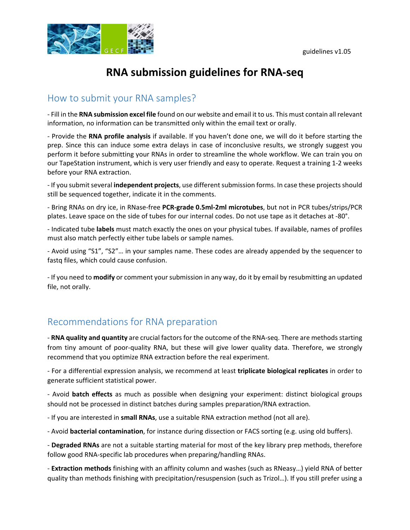

# **RNA submission guidelines for RNA‐seq**

#### How to submit your RNA samples?

‐ Fill in the **RNA submission excel file** found on our website and email it to us. This must contain all relevant information, no information can be transmitted only within the email text or orally.

‐ Provide the **RNA profile analysis** if available. If you haven't done one, we will do it before starting the prep. Since this can induce some extra delays in case of inconclusive results, we strongly suggest you perform it before submitting your RNAs in order to streamline the whole workflow. We can train you on our TapeStation instrument, which is very user friendly and easy to operate. Request a training 1‐2 weeks before your RNA extraction.

‐ If you submitseveral **independent projects**, use differentsubmission forms. In case these projectsshould still be sequenced together, indicate it in the comments.

‐ Bring RNAs on dry ice, in RNase‐free **PCR‐grade 0.5ml‐2ml microtubes**, but not in PCR tubes/strips/PCR plates. Leave space on the side of tubes for our internal codes. Do not use tape as it detaches at ‐80°.

‐ Indicated tube **labels** must match exactly the ones on your physical tubes. If available, names of profiles must also match perfectly either tube labels or sample names.

‐ Avoid using "S1", "S2"… in your samples name. These codes are already appended by the sequencer to fastq files, which could cause confusion.

‐ If you need to **modify** or comment your submission in any way, do it by email by resubmitting an updated file, not orally.

#### Recommendations for RNA preparation

‐ **RNA quality and quantity** are crucial factors for the outcome of the RNA‐seq. There are methods starting from tiny amount of poor-quality RNA, but these will give lower quality data. Therefore, we strongly recommend that you optimize RNA extraction before the real experiment.

‐ For a differential expression analysis, we recommend at least **triplicate biological replicates** in order to generate sufficient statistical power.

‐ Avoid **batch effects** as much as possible when designing your experiment: distinct biological groups should not be processed in distinct batches during samples preparation/RNA extraction.

‐ If you are interested in **small RNAs**, use a suitable RNA extraction method (not all are).

‐ Avoid **bacterial contamination**, for instance during dissection or FACS sorting (e.g. using old buffers).

‐ **Degraded RNAs** are not a suitable starting material for most of the key library prep methods, therefore follow good RNA‐specific lab procedures when preparing/handling RNAs.

‐ **Extraction methods** finishing with an affinity column and washes (such as RNeasy…) yield RNA of better quality than methods finishing with precipitation/resuspension (such as Trizol…). If you still prefer using a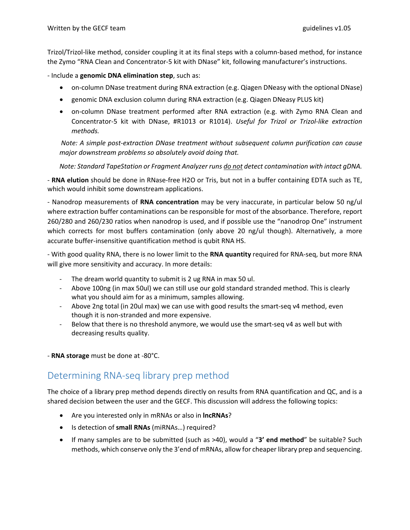Trizol/Trizol‐like method, consider coupling it at its final steps with a column‐based method, for instance the Zymo "RNA Clean and Concentrator‐5 kit with DNase" kit, following manufacturer's instructions.

‐ Include a **genomic DNA elimination step**, such as:

- on-column DNase treatment during RNA extraction (e.g. Qiagen DNeasy with the optional DNase)
- genomic DNA exclusion column during RNA extraction (e.g. Qiagen DNeasy PLUS kit)
- on-column DNase treatment performed after RNA extraction (e.g. with Zymo RNA Clean and Concentrator‐5 kit with DNase, #R1013 or R1014). *Useful for Trizol or Trizol‐like extraction methods.*

*Note: A simple post‐extraction DNase treatment without subsequent column purification can cause major downstream problems so absolutely avoid doing that.* 

*Note: Standard TapeStation or Fragment Analyzer runs do not detect contamination with intact gDNA.*

‐ **RNA elution** should be done in RNase‐free H2O or Tris, but not in a buffer containing EDTA such as TE, which would inhibit some downstream applications.

‐ Nanodrop measurements of **RNA concentration** may be very inaccurate, in particular below 50 ng/ul where extraction buffer contaminations can be responsible for most of the absorbance. Therefore, report 260/280 and 260/230 ratios when nanodrop is used, and if possible use the "nanodrop One" instrument which corrects for most buffers contamination (only above 20 ng/ul though). Alternatively, a more accurate buffer‐insensitive quantification method is qubit RNA HS.

‐ With good quality RNA, there is no lower limit to the **RNA quantity** required for RNA‐seq, but more RNA will give more sensitivity and accuracy. In more details:

- The dream world quantity to submit is 2 ug RNA in max 50 ul.
- ‐ Above 100ng (in max 50ul) we can still use our gold standard stranded method. This is clearly what you should aim for as a minimum, samples allowing.
- ‐ Above 2ng total (in 20ul max) we can use with good results the smart‐seq v4 method, even though it is non‐stranded and more expensive.
- Below that there is no threshold anymore, we would use the smart-seq v4 as well but with decreasing results quality.

‐ **RNA storage** must be done at ‐80°C.

### Determining RNA‐seq library prep method

The choice of a library prep method depends directly on results from RNA quantification and QC, and is a shared decision between the user and the GECF. This discussion will address the following topics:

- Are you interested only in mRNAs or also in **lncRNAs**?
- Is detection of **small RNAs** (miRNAs…) required?
- If many samples are to be submitted (such as >40), would a "**3' end method**" be suitable? Such methods, which conserve only the 3'end of mRNAs, allow for cheaper library prep and sequencing.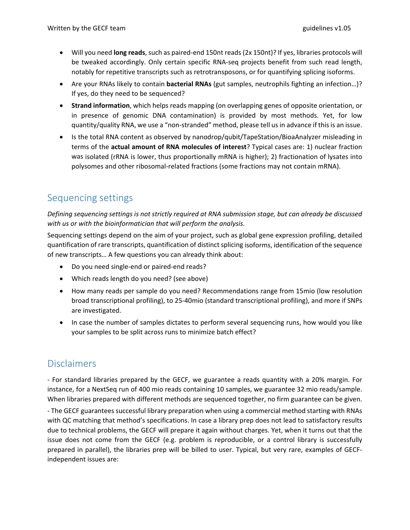- Will you need **long reads**, such as paired‐end 150nt reads (2x 150nt)? If yes, libraries protocols will be tweaked accordingly. Only certain specific RNA‐seq projects benefit from such read length, notably for repetitive transcripts such as retrotransposons, or for quantifying splicing isoforms.
- Are your RNAs likely to contain **bacterial RNAs** (gut samples, neutrophils fighting an infection…)? If yes, do they need to be sequenced?
- **Strand information**, which helps reads mapping (on overlapping genes of opposite orientation, or in presence of genomic DNA contamination) is provided by most methods. Yet, for low quantity/quality RNA, we use a "non-stranded" method, please tell us in advance if this is an issue.
- Is the total RNA content as observed by nanodrop/qubit/TapeStation/BioaAnalyzer misleading in terms of the **actual amount of RNA molecules of interest**? Typical cases are: 1) nuclear fraction was isolated (rRNA is lower, thus proportionally mRNA is higher); 2) fractionation of lysates into polysomes and other ribosomal‐related fractions (some fractions may not contain mRNA).

## Sequencing settings

*Defining sequencing settings is not strictly required at RNA submission stage, but can already be discussed with us or with the bioinformatician that will perform the analysis.*

Sequencing settings depend on the aim of your project, such as global gene expression profiling, detailed quantification of rare transcripts, quantification of distinct splicing isoforms, identification of the sequence of new transcripts… A few questions you can already think about:

- Do you need single-end or paired-end reads?
- Which reads length do you need? (see above)
- How many reads per sample do you need? Recommendations range from 15mio (low resolution broad transcriptional profiling), to 25‐40mio (standard transcriptional profiling), and more if SNPs are investigated.
- In case the number of samples dictates to perform several sequencing runs, how would you like your samples to be split across runs to minimize batch effect?

## Disclaimers

‐ For standard libraries prepared by the GECF, we guarantee a reads quantity with a 20% margin. For instance, for a NextSeq run of 400 mio reads containing 10 samples, we guarantee 32 mio reads/sample. When libraries prepared with different methods are sequenced together, no firm guarantee can be given.

‐ The GECF guarantees successful library preparation when using a commercial method starting with RNAs with QC matching that method's specifications. In case a library prep does not lead to satisfactory results due to technical problems, the GECF will prepare it again without charges. Yet, when it turns out that the issue does not come from the GECF (e.g. problem is reproducible, or a control library is successfully prepared in parallel), the libraries prep will be billed to user. Typical, but very rare, examples of GECF‐ independent issues are: